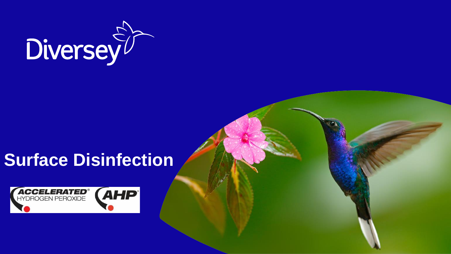

# **Surface Disinfection**

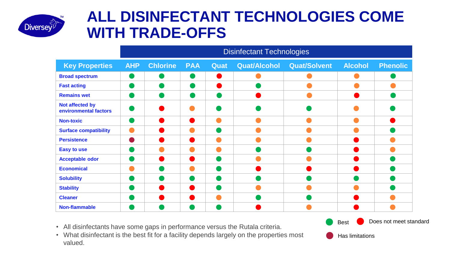

# **ALL DISINFECTANT TECHNOLOGIES COME WITH TRADE-OFFS**

|                                          | <b>Disinfectant Technologies</b> |                 |                        |      |                     |                     |                |                 |  |  |  |
|------------------------------------------|----------------------------------|-----------------|------------------------|------|---------------------|---------------------|----------------|-----------------|--|--|--|
| <b>Key Properties</b>                    | <b>AHP</b>                       | <b>Chlorine</b> | <b>PAA</b>             | Quat | <b>Quat/Alcohol</b> | <b>Quat/Solvent</b> | <b>Alcohol</b> | <b>Phenolic</b> |  |  |  |
| <b>Broad spectrum</b>                    |                                  |                 |                        |      |                     |                     |                |                 |  |  |  |
| <b>Fast acting</b>                       |                                  |                 |                        |      |                     |                     |                |                 |  |  |  |
| <b>Remains wet</b>                       |                                  |                 |                        |      |                     |                     |                |                 |  |  |  |
| Not affected by<br>environmental factors |                                  |                 |                        |      |                     |                     |                |                 |  |  |  |
| <b>Non-toxic</b>                         |                                  |                 | <b>Service Service</b> |      |                     |                     |                |                 |  |  |  |
| <b>Surface compatibility</b>             |                                  |                 |                        |      |                     |                     |                |                 |  |  |  |
| <b>Persistence</b>                       |                                  |                 | <b>Service Service</b> |      |                     |                     |                |                 |  |  |  |
| <b>Easy to use</b>                       |                                  |                 |                        |      |                     |                     |                |                 |  |  |  |
| <b>Acceptable odor</b>                   |                                  |                 | <b>Service Service</b> |      |                     |                     |                |                 |  |  |  |
| <b>Economical</b>                        |                                  |                 |                        |      |                     |                     |                |                 |  |  |  |
| <b>Solubility</b>                        |                                  |                 |                        |      |                     |                     |                |                 |  |  |  |
| <b>Stability</b>                         |                                  |                 |                        |      |                     |                     |                |                 |  |  |  |
| <b>Cleaner</b>                           |                                  |                 |                        |      |                     |                     |                |                 |  |  |  |
| <b>Non-flammable</b>                     |                                  |                 |                        |      |                     |                     |                |                 |  |  |  |

- All disinfectants have some gaps in performance versus the Rutala criteria.
- What disinfectant is the best fit for a facility depends largely on the properties most valued.

Does not meet standard



Best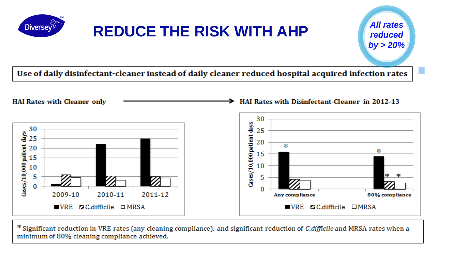

# **REDUCE THE RISK WITH AHP**

*All rates reduced by > 20%*

**HAI Rates with Disinfectant-Cleaner in 2012-13** 

Use of daily disinfectant-cleaner instead of daily cleaner reduced hospital acquired infection rates

**HAI Rates with Cleaner only** 



\* Significant reduction in VRE rates (any cleaning compliance), and significant reduction of *C.difficile* and MRSA rates when a minimum of 80% cleaning compliance achieved.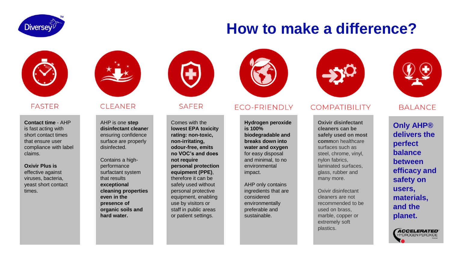

# **How to make a difference?**



### **FASTER**

**Contact time** - AHP is fast acting with short contact times that ensure user compliance with label claims.

### **Oxivir Plus is**

effective against viruses, bacteria, yeast short contact times.



### **CI FANER**

AHP is one **step disinfectant cleane**r ensuring confidence surface are properly disinfected.

Contains a highperformance surfactant system that results **exceptional cleaning properties even in the presence of organic soils and hard water.**



### SAFFR

Comes with the **lowest EPA toxicity rating: non-toxic, non-irritating, odour-free, emits no VOC's and does not require personal protection equipment (PPE)**, therefore it can be safely used without personal protective equipment, enabling use by visitors or staff in public areas or patient settings.



### **ECO-FRIENDLY**

**Hydrogen peroxide is 100% biodegradable and breaks down into water and oxygen**  for easy disposal and minimal, to no environmental impact.

AHP only contains ingredients that are considered environmentally preferable and sustainable.



### **COMPATIBILITY**

**Oxivir disinfectant cleaners can be safely used on most comm**on healthcare surfaces such as steel, chrome, vinyl, nylon fabrics, laminated surfaces, glass, rubber and many more.

Oxivir disinfectant cleaners are not recommended to be used on brass, marble, copper or extremely soft plastics.



### **BALANCE**

**Only AHP® delivers the perfect balance between efficacy and safety on users, materials, and the planet.**

> *ACCELERATED* **TYDROGEN PEROXIDE**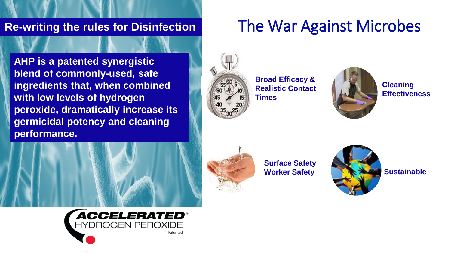## **Re-writing the rules for Disinfection**

**AHP is a patented synergistic blend of commonly-used, safe ingredients that, when combined with low levels of hydrogen peroxide, dramatically increase its germicidal potency and cleaning performance.** 









**Broad Efficacy & Realistic Contact Times**



**Cleaning Effectiveness**



**Surface Safety Worker Safety**



**Sustainable**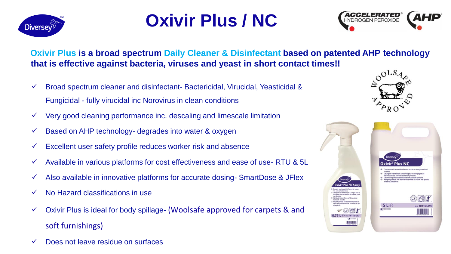

# **Oxivir Plus / NC**



**Oxivir Plus is a broad spectrum Daily Cleaner & Disinfectant based on patented AHP technology that is effective against bacteria, viruses and yeast in short contact times!!**

- $\checkmark$  Broad spectrum cleaner and disinfectant-Bactericidal, Virucidal, Yeasticidal & Fungicidal - fully virucidal inc Norovirus in clean conditions
- $\checkmark$  Very good cleaning performance inc. descaling and limescale limitation
- ✓ Based on AHP technology- degrades into water & oxygen
- $\checkmark$  Excellent user safety profile reduces worker risk and absence
- $\checkmark$  Available in various platforms for cost effectiveness and ease of use-RTU & 5L
- $\checkmark$  Also available in innovative platforms for accurate dosing-SmartDose & JFlex
- ✓ No Hazard classifications in use
- $\checkmark$  Oxivir Plus is ideal for body spillage- (Woolsafe approved for carpets & and soft furnishings)
- ✓ Does not leave residue on surfaces



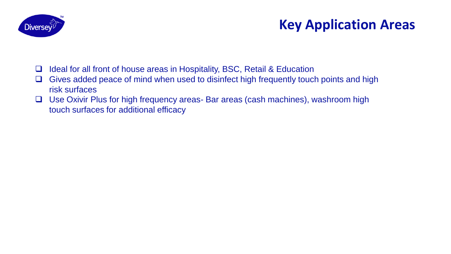

# **Key Application Areas**

- ❑ Ideal for all front of house areas in Hospitality, BSC, Retail & Education
- ❑ Gives added peace of mind when used to disinfect high frequently touch points and high risk surfaces
- ❑ Use Oxivir Plus for high frequency areas- Bar areas (cash machines), washroom high touch surfaces for additional efficacy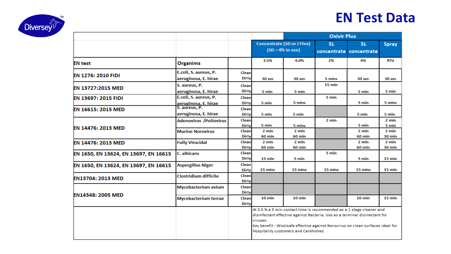# **EN Test Data**



|                                       |                                                          |                                       |                                                          |                                                                                                                                                                                                                                                                                     | <b>Oxivir Plus</b> |                                      |                                            |  |
|---------------------------------------|----------------------------------------------------------|---------------------------------------|----------------------------------------------------------|-------------------------------------------------------------------------------------------------------------------------------------------------------------------------------------------------------------------------------------------------------------------------------------|--------------------|--------------------------------------|--------------------------------------------|--|
|                                       |                                                          |                                       | <b>Concentrate (SD or J Flex)</b><br>$(SD = 4\%$ in use) |                                                                                                                                                                                                                                                                                     | <b>5L</b>          | <b>5L</b><br>concentrate concentrate | <b>Spray</b>                               |  |
| <b>EN</b> test                        | <b>Organims</b>                                          |                                       | 3.5%                                                     | 4.0%                                                                                                                                                                                                                                                                                | 2%                 | 4%                                   | <b>RTU</b>                                 |  |
| <b>EN 1276: 2010 FIDI</b>             | E.coli, S. aureus, P.<br>aeruginosa, E. hirae            | Clean<br><b>Dirty</b>                 | 30 sec                                                   | 30 sec                                                                                                                                                                                                                                                                              | 5 mins             | 30 sec                               | 30 sec                                     |  |
| EN 13727:2015 MED                     | S. aureus, P.<br>aeruginosa, E. hirae                    | Clean<br><b>Dirty</b>                 | 5 min                                                    | 5 min                                                                                                                                                                                                                                                                               | $15 \text{ min}$   | 5 min                                | 5 min                                      |  |
| <b>EN 13697: 2015 FIDI</b>            | E.coli, S. aureus, P.<br>aeruginosa, E. hirae            | Clean<br><b>Dirty</b>                 | 5 min                                                    | 5 mins                                                                                                                                                                                                                                                                              | 5 min              | 5 min                                | 5 mins                                     |  |
| EN 16615: 2015 MED                    | S. aureus, P.<br>aeruginosa, E. hirae                    | Clean<br><b>Dirty</b>                 | 5 min                                                    | 5 min                                                                                                                                                                                                                                                                               |                    | 5 min                                | 5 min                                      |  |
| EN 14476: 2013 MED                    | <b>Adenovirus /Poliovirus</b><br><b>Murine Norovirus</b> | Clean<br><b>Dirty</b><br>Clean        | 5 min<br>$2 \text{ min}$                                 | 5 mins<br>$2 \text{ min}$                                                                                                                                                                                                                                                           | 2 min              | 5 min<br>2 min                       | 2 min<br>5 min<br>$2 \text{ min}$          |  |
| EN 14476: 2013 MED                    | <b>Fully Virucidal</b>                                   | <b>Dirty</b><br>Clean<br><b>Dirty</b> | <b>60 min</b><br>$2 \text{ min}$<br>60 min               | 60 min<br>$2 \text{ min}$<br>60 min                                                                                                                                                                                                                                                 |                    | 60 min<br>2 min<br><b>60 min</b>     | <b>30 min</b><br>$2 \text{ min}$<br>30 min |  |
| EN 1650, EN 13624, EN 13697, EN 16615 | C. albicans                                              | Clean<br><b>Dirty</b>                 | 15 min                                                   | 5 min                                                                                                                                                                                                                                                                               | 5 min              | 5 min                                | 15 min                                     |  |
| EN 1650, EN 13624, EN 13697, EN 16615 | <b>Aspergillus Niger</b>                                 | Clean<br><b>Dirty</b>                 | 15 mins                                                  | 15 mins                                                                                                                                                                                                                                                                             | 15 mins            | 15 mins                              | 15 min                                     |  |
| <b>EN13704: 2013 MED</b>              | <b>Clostridium difficile</b>                             | Clean<br>Dirty                        |                                                          |                                                                                                                                                                                                                                                                                     |                    |                                      |                                            |  |
| <b>EN14348: 2005 MED</b>              | Mycobacterium avium                                      | Clean<br><b>Dirty</b>                 |                                                          |                                                                                                                                                                                                                                                                                     |                    |                                      |                                            |  |
|                                       | <b>Mycobacterium terrae</b>                              | Clean<br><b>Dirty</b>                 | 10 min                                                   | $10 \text{ min}$                                                                                                                                                                                                                                                                    |                    | $10 \text{ min}$                     | $15 \text{ min}$                           |  |
|                                       |                                                          |                                       | viruses.                                                 | At 3.5 % a 5 min contact time is recommended as a 1 stage cleaner and<br>disinfectant effective against Bacteria. Use as a terminal disinectant for<br>Key benefit - Woolsafe effective against Norovirus on clean surfaces ideal for<br><b>Hospitality customers and Carehomes</b> |                    |                                      |                                            |  |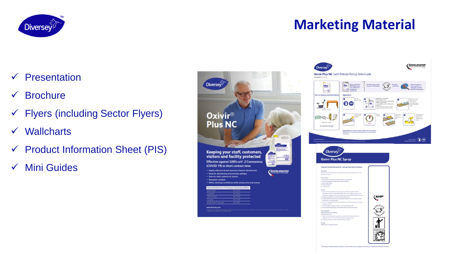

# **Marketing Material**

- ✓ Presentation
- ✓ Brochure
- ✓ Flyers (including Sector Flyers)
- ✓ Wallcharts
- $\checkmark$  Product Information Sheet (PIS)
- ✓ Mini Guides